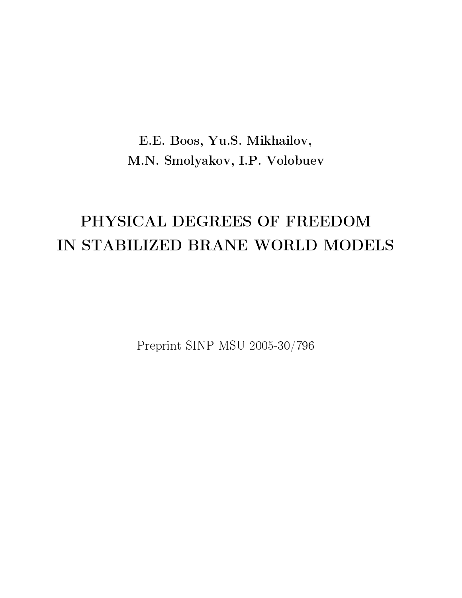# E.E. Boos, Yu.S. Mikhailov, M.N. Smolyakov, I.P. Volobuev

# PHYSICAL DEGREES OF FREEDOM IN STABILIZED BRANE WORLD MODELS

Preprint SINP MSU 2005-30/796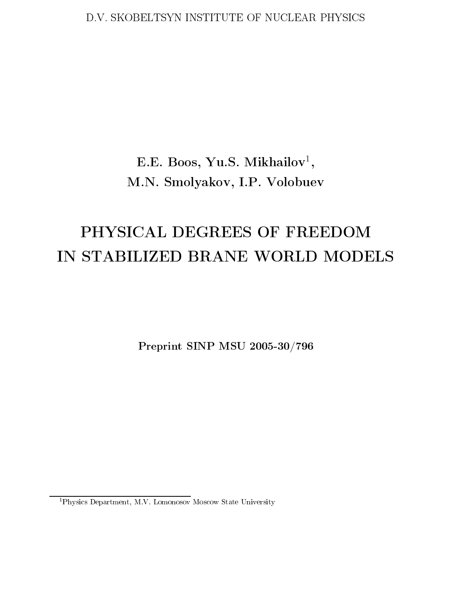## D.V. SKOBELTSYN INSTITUTE OF NUCLEAR PHYSICS

# E.E. Boos, Yu.S. Mikhailov<sup>1</sup>, M.N. Smolyakov, I.P. Volobuev

# PHYSICAL DEGREES OF FREEDOM IN STABILIZED BRANE WORLD MODELS

Preprint SINP MSU 2005-30/796

<sup>&</sup>lt;sup>1</sup>Physics Department, M.V. Lomonosov Moscow State University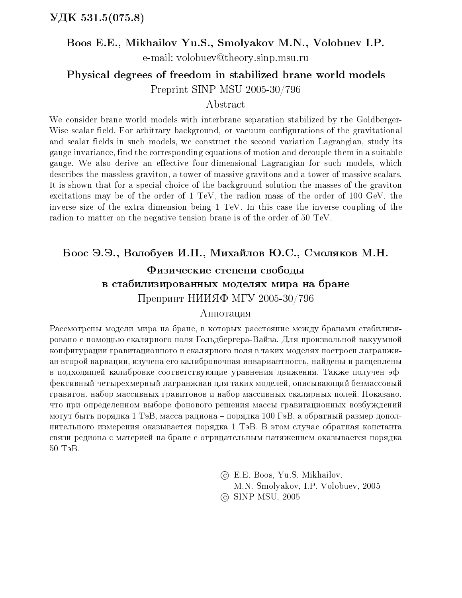## Boos E.E., Mikhailov Yu.S., Smolyakov M.N., Volobuev I.P.

e-mail: volobuev@theory.sinp.msu.ru

Physical degrees of freedom in stabilized brane world models Preprint SINP MSU 2005-30/796

## Abstract

We consider brane world models with interbrane separation stabilized by the Goldberger-Wise scalar field. For arbitrary background, or vacuum configurations of the gravitational and scalar fields in such models, we construct the second variation Lagrangian, study its gauge invariance, find the corresponding equations of motion and decouple them in a suitable gauge. We also derive an effective four-dimensional Lagrangian for such models, which describes the massless graviton, a tower of massive gravitons and a tower of massive scalars. It is shown that for a special choice of the background solution the masses of the graviton excitations may be of the order of 1 TeV, the radion mass of the order of 100 GeV, the inverse size of the extra dimension being 1 TeV. In this case the inverse coupling of the radion to matter on the negative tension brane is of the order of 50 TeV.

## Боос Э.Э., Волобуев И.П., Михайлов Ю.С., Смоляков М.Н.

# Физические степени свободы в стабилизированных моделях мира на бране Препринт НИИЯФ МГУ 2005-30/796

## Аннотация

Рассмотрены модели мира на бране, в которых расстояние между бранами стабилизировано с помощью скалярного поля Гольдбергера-Вайза. Для произвольной вакуумной конфигурации гравитационного и скалярного поля в таких моделях построен лагранжиан второй вариации, изучена его калибровочная инвариантность, найдены и расцеплены в подходящей калибровке соответствующие уравнения движения. Также получен эффективный четырехмерный лагранжиан для таких моделей, описывающий безмассовый гравитон, набор массивных гравитонов и набор массивных скалярных полей. Показано, что при определенном выборе фонового решения массы гравитационных возбуждений могут быть порядка 1 ТэВ, масса радиона – порядка 100 ГэВ, а обратный размер дополнительного измерения оказывается порядка 1 ТэВ. В этом случае обратная константа связи редиона с материей на бране с отрицательным натяжением оказывается порядка 50 ТэВ.

> (c) E.E. Boos, Yu.S. Mikhailov, M.N. Smolyakov, I.P. Volobuev, 2005 © SINP MSU, 2005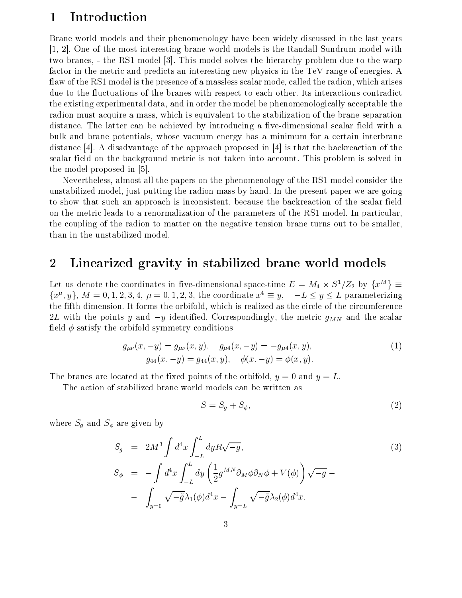#### Introduction  $\mathbf{1}$

Brane world models and their phenomenology have been widely discussed in the last years [1, 2]. One of the most interesting brane world models is the Randall-Sundrum model with two branes, - the RS1 model [3]. This model solves the hierarchy problem due to the warp factor in the metric and predicts an interesting new physics in the TeV range of energies. A flaw of the RS1 model is the presence of a massless scalar mode, called the radion, which arises due to the fluctuations of the branes with respect to each other. Its interactions contradict the existing experimental data, and in order the model be phenomenologically acceptable the radion must acquire a mass, which is equivalent to the stabilization of the brane separation distance. The latter can be achieved by introducing a five-dimensional scalar field with a bulk and brane potentials, whose vacuum energy has a minimum for a certain interbrane distance [4]. A disadvantage of the approach proposed in [4] is that the backreaction of the scalar field on the background metric is not taken into account. This problem is solved in the model proposed in [5].

Nevertheless, almost all the papers on the phenomenology of the RS1 model consider the unstabilized model, just putting the radion mass by hand. In the present paper we are going to show that such an approach is inconsistent, because the backreaction of the scalar field on the metric leads to a renormalization of the parameters of the RS1 model. In particular, the coupling of the radion to matter on the negative tension brane turns out to be smaller, than in the unstabilized model.

#### $\overline{2}$ Linearized gravity in stabilized brane world models

Let us denote the coordinates in five-dimensional space-time  $E = M_4 \times S^1/Z_2$  by  $\{x^M\} \equiv$  $\{x^{\mu}, y\}, M = 0, 1, 2, 3, 4, \mu = 0, 1, 2, 3$ , the coordinate  $x^4 \equiv y$ ,  $-L \le y \le L$  parameterizing the fifth dimension. It forms the orbifold, which is realized as the circle of the circumference 2L with the points y and  $-y$  identified. Correspondingly, the metric  $g_{MN}$  and the scalar field  $\phi$  satisfy the orbifold symmetry conditions

$$
g_{\mu\nu}(x, -y) = g_{\mu\nu}(x, y), \quad g_{\mu 4}(x, -y) = -g_{\mu 4}(x, y),
$$
  
\n
$$
g_{44}(x, -y) = g_{44}(x, y), \quad \phi(x, -y) = \phi(x, y).
$$
\n(1)

The branes are located at the fixed points of the orbifold,  $y = 0$  and  $y = L$ .

The action of stabilized brane world models can be written as

$$
S = S_g + S_\phi,\tag{2}
$$

where  $S_q$  and  $S_\phi$  are given by

$$
S_g = 2M^3 \int d^4x \int_{-L}^{L} dy R \sqrt{-g},
$$
  
\n
$$
S_{\phi} = -\int d^4x \int_{-L}^{L} dy \left(\frac{1}{2} g^{MN} \partial_M \phi \partial_N \phi + V(\phi)\right) \sqrt{-g} -
$$
  
\n
$$
- \int_{y=0} \sqrt{-\tilde{g}} \lambda_1(\phi) d^4x - \int_{y=L} \sqrt{-\tilde{g}} \lambda_2(\phi) d^4x.
$$
\n(3)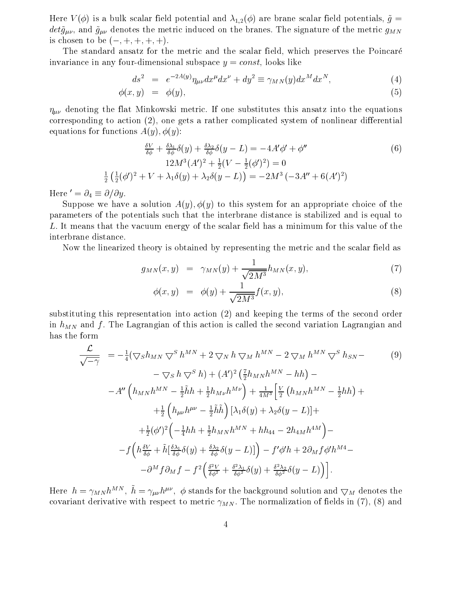Here  $V(\phi)$  is a bulk scalar field potential and  $\lambda_{1,2}(\phi)$  are brane scalar field potentials,  $\tilde{g}$  =  $det \tilde{g}_{\mu\nu}$ , and  $\tilde{g}_{\mu\nu}$  denotes the metric induced on the branes. The signature of the metric  $g_{MN}$ is chosen to be  $(-, +, +, +, +)$ .

The standard ansatz for the metric and the scalar field, which preserves the Poincaré invariance in any four-dimensional subspace  $y = const$ , looks like

$$
ds^2 = e^{-2A(y)} \eta_{\mu\nu} dx^{\mu} dx^{\nu} + dy^2 \equiv \gamma_{MN}(y) dx^M dx^N, \tag{4}
$$

$$
\phi(x,y) = \phi(y), \tag{5}
$$

 $\eta_{\mu\nu}$  denoting the flat Minkowski metric. If one substitutes this ansatz into the equations corresponding to action (2), one gets a rather complicated system of nonlinear differential equations for functions  $A(y)$ ,  $\phi(y)$ :

$$
\frac{\delta V}{\delta \phi} + \frac{\delta \lambda_1}{\delta \phi} \delta(y) + \frac{\delta \lambda_2}{\delta \phi} \delta(y - L) = -4A' \phi' + \phi''
$$
  
\n
$$
12M^3 (A')^2 + \frac{1}{2} (V - \frac{1}{2} (\phi')^2) = 0
$$
  
\n
$$
\frac{1}{2} (\frac{1}{2} (\phi')^2 + V + \lambda_1 \delta(y) + \lambda_2 \delta(y - L)) = -2M^3 (-3A'' + 6(A')^2)
$$
\n(6)

Here  ${}' = \partial_4 \equiv \partial/\partial y$ .

Suppose we have a solution  $A(y), \phi(y)$  to this system for an appropriate choice of the parameters of the potentials such that the interbrane distance is stabilized and is equal to L. It means that the vacuum energy of the scalar field has a minimum for this value of the interbrane distance.

Now the linearized theory is obtained by representing the metric and the scalar field as

$$
g_{MN}(x,y) = \gamma_{MN}(y) + \frac{1}{\sqrt{2M^3}} h_{MN}(x,y), \tag{7}
$$

$$
\phi(x, y) = \phi(y) + \frac{1}{\sqrt{2M^3}} f(x, y), \tag{8}
$$

substituting this representation into action (2) and keeping the terms of the second order in  $h_{MN}$  and f. The Lagrangian of this action is called the second variation Lagrangian and has the form

$$
\frac{\mathcal{L}}{\sqrt{-\gamma}} = -\frac{1}{4} (\nabla_{S} h_{MN} \nabla^{S} h^{MN} + 2 \nabla_{N} h \nabla_{M} h^{MN} - 2 \nabla_{M} h^{MN} \nabla^{S} h_{SN} -
$$
  
\n
$$
- \nabla_{S} h \nabla^{S} h) + (A')^{2} \left( \frac{7}{2} h_{MN} h^{MN} - hh \right) -
$$
  
\n
$$
-A'' \left( h_{MN} h^{MN} - \frac{1}{2} \tilde{h} h + \frac{1}{2} h_{M\nu} h^{M\nu} \right) + \frac{1}{4M^{3}} \left[ \frac{V}{2} \left( h_{MN} h^{MN} - \frac{1}{2} h h \right) +
$$
  
\n
$$
+ \frac{1}{2} \left( h_{\mu\nu} h^{\mu\nu} - \frac{1}{2} \tilde{h} \tilde{h} \right) \left[ \lambda_{1} \delta(y) + \lambda_{2} \delta(y - L) \right] +
$$
  
\n
$$
+ \frac{1}{2} (\phi')^{2} \left( -\frac{1}{4} h h + \frac{1}{2} h_{MN} h^{MN} + h h_{44} - 2 h_{4M} h^{4M} \right) -
$$
  
\n
$$
-f \left( h \frac{\delta V}{\delta \phi} + \tilde{h} \left[ \frac{\delta \lambda_{1}}{\delta \phi} \delta(y) + \frac{\delta \lambda_{2}}{\delta \phi} \delta(y - L) \right] \right) - f' \phi' h + 2 \partial_{M} f \phi' h^{M4} -
$$
  
\n
$$
- \partial^{M} f \partial_{M} f - f^{2} \left( \frac{\delta^{2} V}{\delta \phi^{2}} + \frac{\delta^{2} \lambda_{1}}{\delta \phi^{2}} \delta(y) + \frac{\delta^{2} \lambda_{2}}{\delta \phi^{2}} \delta(y - L) \right) \bigg].
$$
  
\n(9)

Here  $h = \gamma_{MN} h^{MN}$ ,  $\tilde{h} = \gamma_{\mu\nu} h^{\mu\nu}$ ,  $\phi$  stands for the background solution and  $\nabla_M$  denotes the covariant derivative with respect to metric  $\gamma_{MN}$ . The normalization of fields in (7), (8) and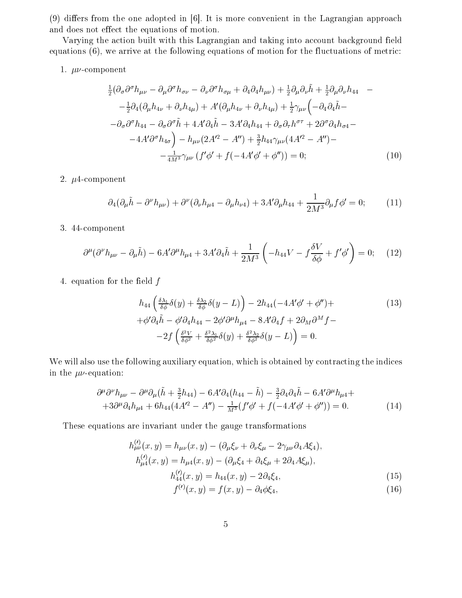$(9)$  differs from the one adopted in [6]. It is more convenient in the Lagrangian approach and does not effect the equations of motion.

Varying the action built with this Lagrangian and taking into account background field equations  $(6)$ , we arrive at the following equations of motion for the fluctuations of metric:

### 1.  $\mu\nu$ -component

$$
\frac{1}{2}(\partial_{\sigma}\partial^{\sigma}h_{\mu\nu} - \partial_{\mu}\partial^{\sigma}h_{\sigma\nu} - \partial_{\nu}\partial^{\sigma}h_{\sigma\mu} + \partial_{4}\partial_{4}h_{\mu\nu}) + \frac{1}{2}\partial_{\mu}\partial_{\nu}\tilde{h} + \frac{1}{2}\partial_{\mu}\partial_{\nu}h_{44} - \n- \frac{1}{2}\partial_{4}(\partial_{\mu}h_{4\nu} + \partial_{\nu}h_{4\mu}) + A'(\partial_{\mu}h_{4\nu} + \partial_{\nu}h_{4\mu}) + \frac{1}{2}\gamma_{\mu\nu}\left(-\partial_{4}\partial_{4}\tilde{h} - \n-\partial_{\sigma}\partial^{\sigma}h_{44} - \partial_{\sigma}\partial^{\sigma}\tilde{h} + 4A'\partial_{4}\tilde{h} - 3A'\partial_{4}h_{44} + \partial_{\sigma}\partial_{\tau}h^{\sigma\tau} + 2\partial^{\sigma}\partial_{4}h_{\sigma4} - \n-4A'\partial^{\sigma}h_{4\sigma}\right) - h_{\mu\nu}(2A'^{2} - A'') + \frac{3}{2}h_{44}\gamma_{\mu\nu}(4A'^{2} - A'') - \n- \frac{1}{4M^{3}}\gamma_{\mu\nu}\left(f'\phi' + f(-4A'\phi' + \phi'')\right) = 0; \tag{10}
$$

### 2.  $\mu$ 4-component

$$
\partial_4(\partial_\mu \tilde{h} - \partial^\nu h_{\mu\nu}) + \partial^\nu(\partial_\nu h_{\mu 4} - \partial_\mu h_{\nu 4}) + 3A'\partial_\mu h_{44} + \frac{1}{2M^3}\partial_\mu f \phi' = 0; \tag{11}
$$

### 3. 44-component

$$
\partial^{\mu}(\partial^{\nu}h_{\mu\nu} - \partial_{\mu}\tilde{h}) - 6A'\partial^{\mu}h_{\mu4} + 3A'\partial_{4}\tilde{h} + \frac{1}{2M^{3}}\left(-h_{44}V - f\frac{\delta V}{\delta\phi} + f'\phi'\right) = 0; \quad (12)
$$

4. equation for the field  $f$ 

$$
h_{44}\left(\frac{\delta\lambda_1}{\delta\phi}\delta(y) + \frac{\delta\lambda_2}{\delta\phi}\delta(y-L)\right) - 2h_{44}(-4A'\phi' + \phi'') +
$$
  
+  $\phi'\partial_4\tilde{h} - \phi'\partial_4h_{44} - 2\phi'\partial^\mu h_{\mu 4} - 8A'\partial_4f + 2\partial_M\partial^Mf -$   
-  $2f\left(\frac{\delta^2V}{\delta\phi^2} + \frac{\delta^2\lambda_1}{\delta\phi^2}\delta(y) + \frac{\delta^2\lambda_2}{\delta\phi^2}\delta(y-L)\right) = 0.$  (13)

We will also use the following auxiliary equation, which is obtained by contracting the indices in the  $\mu\nu$ -equation:

$$
\partial^{\mu}\partial^{\nu}h_{\mu\nu} - \partial^{\mu}\partial_{\mu}(\tilde{h} + \frac{3}{2}h_{44}) - 6A'\partial_{4}(h_{44} - \tilde{h}) - \frac{3}{2}\partial_{4}\partial_{4}\tilde{h} - 6A'\partial^{\mu}h_{\mu4} ++ 3\partial^{\mu}\partial_{4}h_{\mu4} + 6h_{44}(4A'^{2} - A'') - \frac{1}{M^{3}}(f'\phi' + f(-4A'\phi' + \phi'')) = 0.
$$
 (14)

These equations are invariant under the gauge transformations

$$
h_{\mu\nu}^{(l)}(x,y) = h_{\mu\nu}(x,y) - (\partial_{\mu}\xi_{\nu} + \partial_{\nu}\xi_{\mu} - 2\gamma_{\mu\nu}\partial_{4}A\xi_{4}),
$$
  
\n
$$
h_{\mu4}^{(l)}(x,y) = h_{\mu4}(x,y) - (\partial_{\mu}\xi_{4} + \partial_{4}\xi_{\mu} + 2\partial_{4}A\xi_{\mu}),
$$
  
\n
$$
h_{44}^{(l)}(x,y) = h_{44}(x,y) - 2\partial_{4}\xi_{4},
$$
  
\n(15)

$$
f^{(t)}(x,y) = f(x,y) - \partial_4 \phi \xi_4, \tag{16}
$$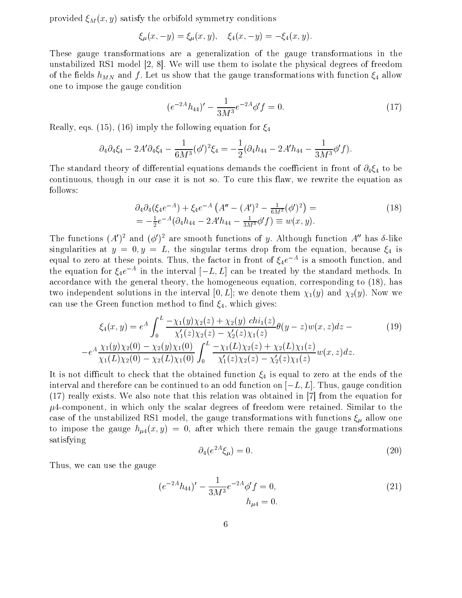provided  $\xi_M(x, y)$  satisfy the orbifold symmetry conditions

$$
\xi_{\mu}(x, -y) = \xi_{\mu}(x, y), \quad \xi_4(x, -y) = -\xi_4(x, y).
$$

These gauge transformations are a generalization of the gauge transformations in the unstabilized RS1 model  $\vert 2, 8 \vert$ . We will use them to isolate the physical degrees of freedom of the fields  $h_{MN}$  and f. Let us show that the gauge transformations with function  $\xi_4$  allow one to impose the gauge condition

$$
(e^{-2A}h_{44})' - \frac{1}{3M^3}e^{-2A}\phi' f = 0.
$$
\n(17)

Really, eqs. (15), (16) imply the following equation for  $\xi_4$ 

$$
\partial_4 \partial_4 \xi_4 - 2A' \partial_4 \xi_4 - \frac{1}{6M^3} (\phi')^2 \xi_4 = -\frac{1}{2} (\partial_4 h_{44} - 2A' h_{44} - \frac{1}{3M^3} \phi' f).
$$

The standard theory of differential equations demands the coefficient in front of  $\partial_4 \xi_4$  to be continuous, though in our case it is not so. To cure this flaw, we rewrite the equation as follows:

$$
\partial_4 \partial_4 (\xi_4 e^{-A}) + \xi_4 e^{-A} \left( A'' - (A')^2 - \frac{1}{6M^3} (\phi')^2 \right) =
$$
\n
$$
= -\frac{1}{2} e^{-A} (\partial_4 h_{44} - 2A' h_{44} - \frac{1}{3M^3} \phi' f) \equiv w(x, y).
$$
\n(18)

The functions  $(A')^2$  and  $(\phi')^2$  are smooth functions of y. Although function  $A''$  has  $\delta$ -like singularities at  $y = 0, y = L$ , the singular terms drop from the equation, because  $\xi_4$  is equal to zero at these points. Thus, the factor in front of  $\xi_4 e^{-A}$  is a smooth function, and the equation for  $\xi_4 e^{-A}$  in the interval  $[-L, L]$  can be treated by the standard methods. In accordance with the general theory, the homogeneous equation, corresponding to (18), has two independent solutions in the interval [0, L]; we denote them  $\chi_1(y)$  and  $\chi_2(y)$ . Now we can use the Green function method to find  $\xi_4$ , which gives:

$$
\xi_4(x,y) = e^A \int_0^L \frac{-\chi_1(y)\chi_2(z) + \chi_2(y) \operatorname{chi}_1(z)}{\chi'_1(z)\chi_2(z) - \chi'_2(z)\chi_1(z)} \theta(y-z) w(x,z) dz -
$$
\n
$$
e^A \frac{\chi_1(y)\chi_2(0) - \chi_2(y)\chi_1(0)}{\chi_1(L)\chi_2(0) - \chi_2(L)\chi_1(0)} \int_0^L \frac{-\chi_1(L)\chi_2(z) + \chi_2(L)\chi_1(z)}{\chi'_1(z)\chi_2(z) - \chi'_2(z)\chi_1(z)} w(x,z) dz.
$$
\n(19)

It is not difficult to check that the obtained function  $\xi_4$  is equal to zero at the ends of the interval and therefore can be continued to an odd function on  $[-L, L]$ . Thus, gauge condition  $(17)$  really exists. We also note that this relation was obtained in |7| from the equation for  $\mu$ 4-component, in which only the scalar degrees of freedom were retained. Similar to the case of the unstabilized RS1 model, the gauge transformations with functions  $\xi_{\mu}$  allow one to impose the gauge  $h_{\mu4}(x, y) = 0$ , after which there remain the gauge transformations satisfying

$$
\partial_4(e^{2A}\xi_\mu) = 0. \tag{20}
$$

Thus, we can use the gauge

$$
(e^{-2A}h_{44})' - \frac{1}{3M^3}e^{-2A}\phi' f = 0,
$$
  
\n
$$
h_{\mu 4} = 0.
$$
\n(21)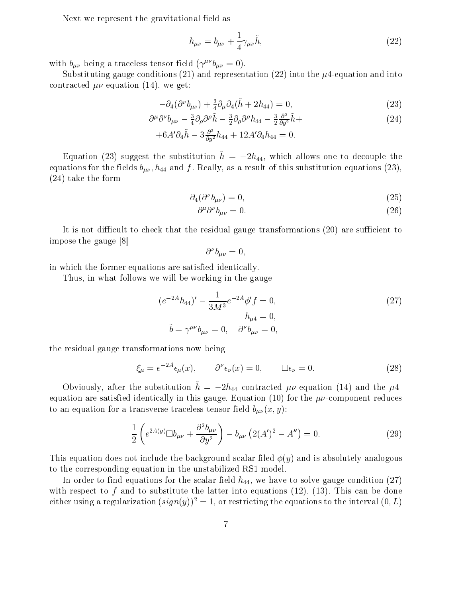Next we represent the gravitational field as

$$
h_{\mu\nu} = b_{\mu\nu} + \frac{1}{4} \gamma_{\mu\nu} \tilde{h},\tag{22}
$$

with  $b_{\mu\nu}$  being a traceless tensor field  $(\gamma^{\mu\nu}b_{\mu\nu}=0)$ .

Substituting gauge conditions (21) and representation (22) into the  $\mu$ 4-equation and into contracted  $\mu\nu$ -equation (14), we get:

$$
-\partial_4(\partial^{\nu}b_{\mu\nu}) + \frac{3}{4}\partial_{\mu}\partial_4(\tilde{h} + 2h_{44}) = 0, \qquad (23)
$$

$$
\partial^{\mu}\partial^{\nu}b_{\mu\nu} - \frac{3}{4}\partial_{\rho}\partial^{\rho}\tilde{h} - \frac{3}{2}\partial_{\rho}\partial^{\rho}h_{44} - \frac{3}{2}\frac{\partial^{2}}{\partial y^{2}}\tilde{h} + \tag{24}
$$

$$
+6A'\partial_4\tilde{h}-3\frac{\partial^2}{\partial y^2}h_{44}+12A'\partial_4h_{44}=0.
$$

Equation (23) suggest the substitution  $\tilde{h} = -2h_{44}$ , which allows one to decouple the equations for the fields  $b_{\mu\nu}$ ,  $h_{44}$  and f. Really, as a result of this substitution equations (23),  $(24)$  take the form

$$
\partial_4(\partial^\nu b_{\mu\nu}) = 0,\tag{25}
$$

$$
\partial^{\mu} \partial^{\nu} b_{\mu\nu} = 0. \tag{26}
$$

It is not difficult to check that the residual gauge transformations (20) are sufficient to impose the gauge [8]

$$
\partial^{\nu}b_{\mu\nu}=0,
$$

in which the former equations are satisfied identically.

Thus, in what follows we will be working in the gauge

$$
(e^{-2A}h_{44})' - \frac{1}{3M^3}e^{-2A}\phi' f = 0,
$$
  
\n
$$
h_{\mu 4} = 0,
$$
  
\n
$$
\tilde{b} = \gamma^{\mu\nu}b_{\mu\nu} = 0, \quad \partial^{\nu}b_{\mu\nu} = 0,
$$
\n(27)

the residual gauge transformations now being

$$
\xi_{\mu} = e^{-2A} \epsilon_{\mu}(x), \qquad \partial^{\nu} \epsilon_{\nu}(x) = 0, \qquad \Box \epsilon_{\nu} = 0. \tag{28}
$$

Obviously, after the substitution  $\tilde{h} = -2h_{44}$  contracted  $\mu\nu$ -equation (14) and the  $\mu$ 4equation are satisfied identically in this gauge. Equation (10) for the  $\mu\nu$ -component reduces to an equation for a transverse-traceless tensor field  $b_{\mu\nu}(x, y)$ :

$$
\frac{1}{2}\left(e^{2A(y)}\Box b_{\mu\nu} + \frac{\partial^2 b_{\mu\nu}}{\partial y^2}\right) - b_{\mu\nu}\left(2(A')^2 - A''\right) = 0.
$$
\n(29)

This equation does not include the background scalar filed  $\phi(y)$  and is absolutely analogous to the corresponding equation in the unstabilized RS1 model.

In order to find equations for the scalar field  $h_{44}$ , we have to solve gauge condition (27) with respect to f and to substitute the latter into equations  $(12)$ ,  $(13)$ . This can be done either using a regularization  $(sign(y))^{2} = 1$ , or restricting the equations to the interval  $(0, L)$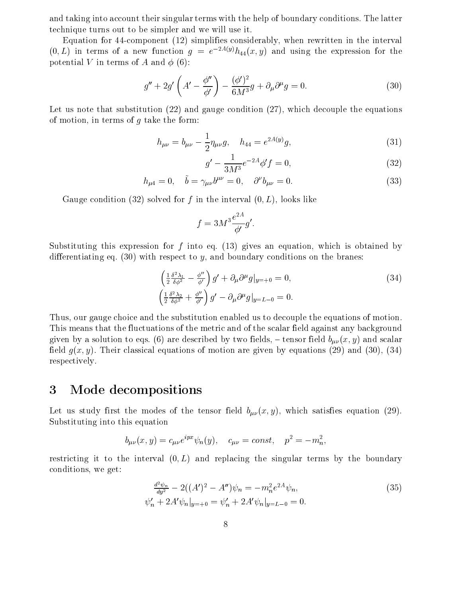and taking into account their singular terms with the help of boundary conditions. The latter technique turns out to be simpler and we will use it.

Equation for 44-component  $(12)$  simplifies considerably, when rewritten in the interval  $(0,L)$  in terms of a new function  $g = e^{-2A(y)}h_{44}(x, y)$  and using the expression for the potential V in terms of A and  $\phi$  (6):

$$
g'' + 2g'\left(A' - \frac{\phi''}{\phi'}\right) - \frac{(\phi')^2}{6M^3}g + \partial_\mu\partial^\mu g = 0.
$$
\n(30)

Let us note that substitution  $(22)$  and gauge condition  $(27)$ , which decouple the equations of motion, in terms of  $g$  take the form:

$$
h_{\mu\nu} = b_{\mu\nu} - \frac{1}{2} \eta_{\mu\nu} g, \quad h_{44} = e^{2A(y)} g,
$$
\n(31)

$$
g' - \frac{1}{3M^3}e^{-2A}\phi' f = 0,
$$
\n(32)

$$
h_{\mu 4} = 0, \quad \tilde{b} = \gamma_{\mu \nu} b^{\mu \nu} = 0, \quad \partial^{\nu} b_{\mu \nu} = 0.
$$
 (33)

Gauge condition (32) solved for f in the interval  $(0, L)$ , looks like

$$
f = 3M^3 \frac{e^{2A}}{\phi'} g'.
$$

Substituting this expression for f into eq.  $(13)$  gives an equation, which is obtained by differentiating eq. (30) with respect to y, and boundary conditions on the branes:

$$
\begin{aligned}\n\left(\frac{1}{2}\frac{\delta^2\lambda_1}{\delta\phi^2} - \frac{\phi''}{\phi'}\right)g' + \partial_\mu\partial^\mu g|_{y=+0} &= 0, \\
\left(\frac{1}{2}\frac{\delta^2\lambda_2}{\delta\phi^2} + \frac{\phi''}{\phi'}\right)g' - \partial_\mu\partial^\mu g|_{y=L-0} &= 0.\n\end{aligned} \tag{34}
$$

Thus, our gauge choice and the substitution enabled us to decouple the equations of motion. This means that the fluctuations of the metric and of the scalar field against any background given by a solution to eqs. (6) are described by two fields, – tensor field  $b_{\mu\nu}(x, y)$  and scalar field  $g(x, y)$ . Their classical equations of motion are given by equations (29) and (30), (34) respectively.

#### 3 Mode decompositions

Let us study first the modes of the tensor field  $b_{\mu\nu}(x, y)$ , which satisfies equation (29). Substituting into this equation

$$
b_{\mu\nu}(x, y) = c_{\mu\nu}e^{ipx}\psi_n(y), \quad c_{\mu\nu} = const, \quad p^2 = -m_n^2
$$

restricting it to the interval  $(0, L)$  and replacing the singular terms by the boundary conditions, we get:

$$
\frac{d^2\psi_n}{dy^2} - 2((A')^2 - A'')\psi_n = -m_n^2 e^{2A}\psi_n,
$$
  
\n
$$
\psi'_n + 2A'\psi_n|_{y=+0} = \psi'_n + 2A'\psi_n|_{y=L-0} = 0.
$$
\n(35)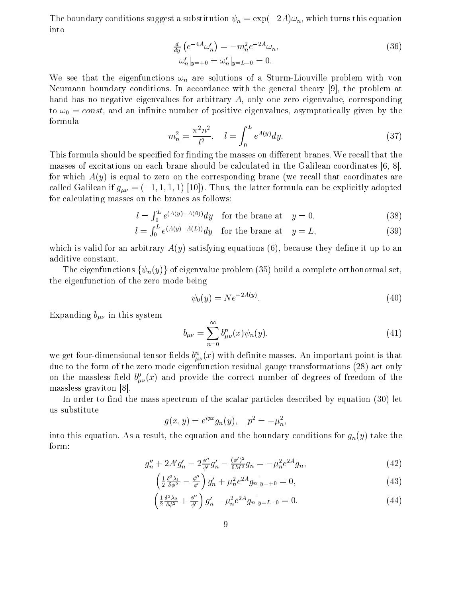The boundary conditions suggest a substitution  $\psi_n = \exp(-2A)\omega_n$ , which turns this equation into

$$
\frac{d}{dy} \left( e^{-4A} \omega_n' \right) = -m_n^2 e^{-2A} \omega_n, \n\omega_n'|_{y=+0} = \omega_n'|_{y=L-0} = 0.
$$
\n(36)

We see that the eigenfunctions  $\omega_n$  are solutions of a Sturm-Liouville problem with von Neumann boundary conditions. In accordance with the general theory [9], the problem at hand has no negative eigenvalues for arbitrary  $A$ , only one zero eigenvalue, corresponding to  $\omega_0 = const$ , and an infinite number of positive eigenvalues, asymptotically given by the formula

$$
m_n^2 = \frac{\pi^2 n^2}{l^2}, \quad l = \int_0^L e^{A(y)} dy. \tag{37}
$$

This formula should be specified for finding the masses on different branes. We recall that the masses of excitations on each brane should be calculated in the Galilean coordinates  $[6, 8]$ . for which  $A(y)$  is equal to zero on the corresponding brane (we recall that coordinates are called Galilean if  $g_{\mu\nu} = (-1, 1, 1, 1)$  [10]). Thus, the latter formula can be explicitly adopted for calculating masses on the branes as follows:

$$
l = \int_0^L e^{(A(y) - A(0))} dy \quad \text{for the brane at} \quad y = 0,
$$
 (38)

$$
l = \int_0^L e^{(A(y) - A(L))} dy \quad \text{for the brane at} \quad y = L,\tag{39}
$$

which is valid for an arbitrary  $A(y)$  satisfying equations (6), because they define it up to an additive constant.

The eigenfunctions  $\{\psi_n(y)\}\$  of eigenvalue problem (35) build a complete orthonormal set, the eigenfunction of the zero mode being

$$
\psi_0(y) = N e^{-2A(y)}.\tag{40}
$$

Expanding  $b_{\mu\nu}$  in this system

$$
b_{\mu\nu} = \sum_{n=0}^{\infty} b_{\mu\nu}^n(x) \psi_n(y),
$$
 (41)

we get four-dimensional tensor fields  $b_{\mu\nu}^n(x)$  with definite masses. An important point is that due to the form of the zero mode eigenfunction residual gauge transformations (28) act only on the massless field  $b^0_{\mu\nu}(x)$  and provide the correct number of degrees of freedom of the massless graviton  $|8|$ .

In order to find the mass spectrum of the scalar particles described by equation (30) let us substitute

$$
g(x, y) = e^{ipx} g_n(y), \quad p^2 = -\mu_n^2,
$$

into this equation. As a result, the equation and the boundary conditions for  $g_n(y)$  take the form:

$$
g_n'' + 2A'g_n' - 2\frac{\phi''}{\phi'}g_n' - \frac{(\phi')^2}{6M^3}g_n = -\mu_n^2 e^{2A}g_n,\tag{42}
$$

$$
\left(\frac{1}{2}\frac{\delta^2\lambda_1}{\delta\phi^2} - \frac{\phi''}{\phi'}\right)g'_n + \mu_n^2 e^{2A}g_n|_{y=+0} = 0,
$$
\n(43)

$$
\left(\frac{1}{2}\frac{\delta^2 \lambda_2}{\delta \phi^2} + \frac{\phi''}{\phi'}\right)g'_n - \mu_n^2 e^{2A} g_n|_{y=L-0} = 0.
$$
\n(44)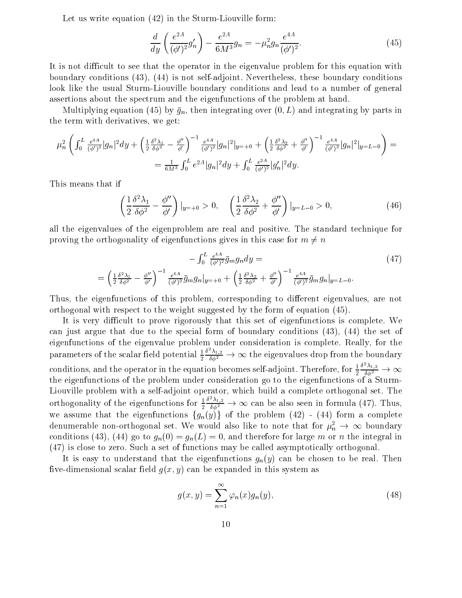Let us write equation (42) in the Sturm-Liouville form:

$$
\frac{d}{dy}\left(\frac{e^{2A}}{(\phi')^2}g'_n\right) - \frac{e^{2A}}{6M^3}g_n = -\mu_n^2 g_n \frac{e^{4A}}{(\phi')^2}.
$$
\n(45)

It is not difficult to see that the operator in the eigenvalue problem for this equation with boundary conditions (43), (44) is not self-adjoint. Nevertheless, these boundary conditions look like the usual Sturm-Liouville boundary conditions and lead to a number of general assertions about the spectrum and the eigenfunctions of the problem at hand.

Multiplying equation (45) by  $\bar{g}_n$ , then integrating over  $(0, L)$  and integrating by parts in the term with derivatives, we get:

$$
\mu_n^2 \left( \int_0^L \frac{e^{4A}}{(\phi')^2} |g_n|^2 dy + \left( \frac{1}{2} \frac{\delta^2 \lambda_1}{\delta \phi^2} - \frac{\phi''}{\phi'} \right)^{-1} \frac{e^{4A}}{(\phi')^2} |g_n|^2 |_{y=+0} + \left( \frac{1}{2} \frac{\delta^2 \lambda_2}{\delta \phi^2} + \frac{\phi''}{\phi'} \right)^{-1} \frac{e^{4A}}{(\phi')^2} |g_n|^2 |_{y=L-0} \right) =
$$
  
=  $\frac{1}{6M^3} \int_0^L e^{2A} |g_n|^2 dy + \int_0^L \frac{e^{2A}}{(\phi')^2} |g_n'|^2 dy.$ 

This means that if

$$
\left(\frac{1}{2}\frac{\delta^2\lambda_1}{\delta\phi^2} - \frac{\phi''}{\phi'}\right)|_{y=+0} > 0, \quad \left(\frac{1}{2}\frac{\delta^2\lambda_2}{\delta\phi^2} + \frac{\phi''}{\phi'}\right)|_{y=L-0} > 0,\tag{46}
$$

all the eigenvalues of the eigenproblem are real and positive. The standard technique for proving the orthogonality of eigenfunctions gives in this case for  $m \neq n$ 

$$
-\int_0^L \frac{e^{4A}}{(\phi')^2} \bar{g}_m g_n dy =
$$
\n
$$
=\left(\frac{1}{2} \frac{\delta^2 \lambda_1}{\delta \phi^2} - \frac{\phi''}{\phi'}\right)^{-1} \frac{e^{4A}}{(\phi')^2} \bar{g}_m g_n|_{y=+0} + \left(\frac{1}{2} \frac{\delta^2 \lambda_2}{\delta \phi^2} + \frac{\phi''}{\phi'}\right)^{-1} \frac{e^{4A}}{(\phi')^2} \bar{g}_m g_n|_{y=L-0}.
$$
\n(47)

Thus, the eigenfunctions of this problem, corresponding to different eigenvalues, are not orthogonal with respect to the weight suggested by the form of equation (45).

It is very difficult to prove rigorously that this set of eigenfunctions is complete. We can just argue that due to the special form of boundary conditions  $(43)$ ,  $(44)$  the set of eigenfunctions of the eigenvalue problem under consideration is complete. Really, for the parameters of the scalar field potential  $\frac{1}{2} \frac{\delta^2 \lambda_{1,2}}{\delta \phi^2} \to \infty$  the eigenvalues drop from the boundary conditions, and the operator in the equation becomes self-adjoint. Therefore, for  $\frac{1}{2} \frac{\delta^2 \lambda_{1,2}}{\delta \phi^2} \to \infty$ the eigenfunctions of the problem under consideration go to the eigenfunctions of a Sturm-Liouville problem with a self-adjoint operator, which build a complete orthogonal set. The orthogonality of the eigenfunctions for  $\frac{1}{2} \frac{\delta^2 \lambda_{1,2}}{\delta \phi^2} \to \infty$  can be also seen in formula (47). Thus, we assume that the eigenfunctions  $\{g_n(y)\}\$  of the problem (42) - (44) form a complete denumerable non-orthogonal set. We would also like to note that for  $\mu_n^2 \to \infty$  boundary conditions (43), (44) go to  $g_n(0) = g_n(L) = 0$ , and therefore for large m or n the integral in (47) is close to zero. Such a set of functions may be called asymptotically orthogonal.

It is easy to understand that the eigenfunctions  $g_n(y)$  can be chosen to be real. Then five-dimensional scalar field  $g(x, y)$  can be expanded in this system as

$$
g(x,y) = \sum_{n=1}^{\infty} \varphi_n(x) g_n(y), \qquad (48)
$$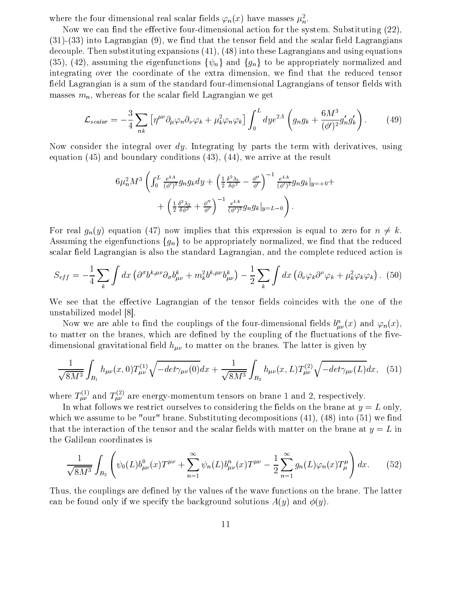where the four dimensional real scalar fields  $\varphi_n(x)$  have masses  $\mu_n^2$ .

Now we can find the effective four-dimensional action for the system. Substituting (22),  $(31)-(33)$  into Lagrangian  $(9)$ , we find that the tensor field and the scalar field Lagrangians decouple. Then substituting expansions  $(41)$ ,  $(48)$  into these Lagrangians and using equations (35), (42), assuming the eigenfunctions  $\{\psi_n\}$  and  $\{g_n\}$  to be appropriately normalized and integrating over the coordinate of the extra dimension, we find that the reduced tensor field Lagrangian is a sum of the standard four-dimensional Lagrangians of tensor fields with masses  $m_n$ , whereas for the scalar field Lagrangian we get

$$
\mathcal{L}_{scalar} = -\frac{3}{4} \sum_{nk} \left[ \eta^{\mu\nu} \partial_{\mu} \varphi_n \partial_{\nu} \varphi_k + \mu_k^2 \varphi_n \varphi_k \right] \int_0^L dy e^{2A} \left( g_n g_k + \frac{6M^3}{(\phi')^2} g'_n g'_k \right). \tag{49}
$$

Now consider the integral over  $dy$ . Integrating by parts the term with derivatives, using equation  $(45)$  and boundary conditions  $(43)$ ,  $(44)$ , we arrive at the result

$$
6\mu_n^2 M^3 \left( \int_0^L \frac{e^{4A}}{(\phi')^2} g_n g_k dy + \left( \frac{1}{2} \frac{\delta^2 \lambda_1}{\delta \phi^2} - \frac{\phi''}{\phi'} \right)^{-1} \frac{e^{4A}}{(\phi')^2} g_n g_k |_{y=+0} + \left( \frac{1}{2} \frac{\delta^2 \lambda_2}{\delta \phi^2} + \frac{\phi''}{\phi'} \right)^{-1} \frac{e^{4A}}{(\phi')^2} g_n g_k |_{y=L-0} \right).
$$

For real  $g_n(y)$  equation (47) now implies that this expression is equal to zero for  $n \neq k$ . Assuming the eigenfunctions  $\{g_n\}$  to be appropriately normalized, we find that the reduced scalar field Lagrangian is also the standard Lagrangian, and the complete reduced action is

$$
S_{eff} = -\frac{1}{4} \sum_{k} \int dx \left( \partial^{\sigma} b^{k,\mu\nu} \partial_{\sigma} b^{k}_{\mu\nu} + m_{k}^{2} b^{k,\mu\nu} b^{k}_{\mu\nu} \right) - \frac{1}{2} \sum_{k} \int dx \left( \partial_{\nu} \varphi_{k} \partial^{\nu} \varphi_{k} + \mu_{k}^{2} \varphi_{k} \varphi_{k} \right). (50)
$$

We see that the effective Lagrangian of the tensor fields coincides with the one of the unstabilized model [8].

Now we are able to find the couplings of the four-dimensional fields  $b_{\mu\nu}^n(x)$  and  $\varphi_n(x)$ , to matter on the branes, which are defined by the coupling of the fluctuations of the fivedimensional gravitational field  $h_{\mu\nu}$  to matter on the branes. The latter is given by

$$
\frac{1}{\sqrt{8M^3}} \int_{B_1} h_{\mu\nu}(x,0) T_{\mu\nu}^{(1)} \sqrt{-det \gamma_{\mu\nu}(0)} dx + \frac{1}{\sqrt{8M^3}} \int_{B_2} h_{\mu\nu}(x,L) T_{\mu\nu}^{(2)} \sqrt{-det \gamma_{\mu\nu}(L)} dx, \quad (51)
$$

where  $T_{\mu\nu}^{(1)}$  and  $T_{\mu\nu}^{(2)}$  are energy-momentum tensors on brane 1 and 2, respectively.

In what follows we restrict ourselves to considering the fields on the brane at  $y = L$  only, which we assume to be "our" brane. Substituting decompositions  $(41)$ ,  $(48)$  into  $(51)$  we find that the interaction of the tensor and the scalar fields with matter on the brane at  $y = L$  in the Galilean coordinates is

$$
\frac{1}{\sqrt{8M^3}} \int_{B_2} \left( \psi_0(L) b_{\mu\nu}^0(x) T^{\mu\nu} + \sum_{n=1}^{\infty} \psi_n(L) b_{\mu\nu}^n(x) T^{\mu\nu} - \frac{1}{2} \sum_{n=1}^{\infty} g_n(L) \varphi_n(x) T^{\mu}_{\mu} \right) dx. \tag{52}
$$

Thus, the couplings are defined by the values of the wave functions on the brane. The latter can be found only if we specify the background solutions  $A(y)$  and  $\phi(y)$ .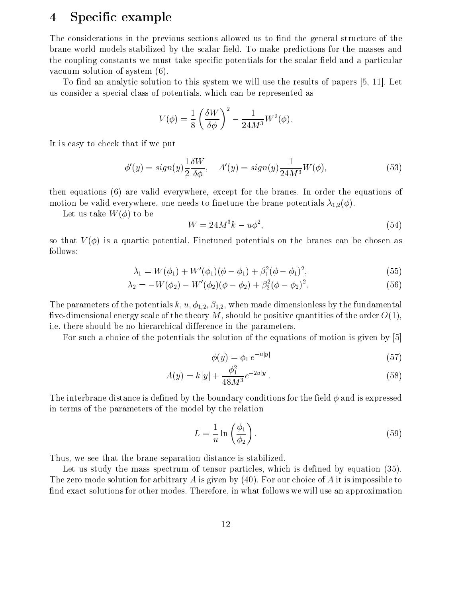#### $\overline{4}$ Specific example

The considerations in the previous sections allowed us to find the general structure of the brane world models stabilized by the scalar field. To make predictions for the masses and the coupling constants we must take specific potentials for the scalar field and a particular vacuum solution of system  $(6)$ .

To find an analytic solution to this system we will use the results of papers [5, 11]. Let us consider a special class of potentials, which can be represented as

$$
V(\phi) = \frac{1}{8} \left( \frac{\delta W}{\delta \phi} \right)^2 - \frac{1}{24M^3} W^2(\phi)
$$

It is easy to check that if we put

$$
\phi'(y) = sign(y)\frac{1}{2}\frac{\delta W}{\delta \phi}, \quad A'(y) = sign(y)\frac{1}{24M^3}W(\phi),\tag{53}
$$

then equations (6) are valid everywhere, except for the branes. In order the equations of motion be valid everywhere, one needs to finetune the brane potentials  $\lambda_{1,2}(\phi)$ .

Let us take  $W(\phi)$  to be

$$
W = 24M^3k - u\phi^2,\tag{54}
$$

so that  $V(\phi)$  is a quartic potential. Finetuned potentials on the branes can be chosen as follows:

$$
\lambda_1 = W(\phi_1) + W'(\phi_1)(\phi - \phi_1) + \beta_1^2(\phi - \phi_1)^2, \tag{55}
$$

$$
\lambda_2 = -W(\phi_2) - W'(\phi_2)(\phi - \phi_2) + \beta_2^2(\phi - \phi_2)^2.
$$
\n(56)

The parameters of the potentials  $k, u, \phi_{1,2}, \beta_{1,2}$ , when made dimensionless by the fundamental five-dimensional energy scale of the theory M, should be positive quantities of the order  $O(1)$ , i.e. there should be no hierarchical difference in the parameters.

For such a choice of the potentials the solution of the equations of motion is given by [5]

$$
\phi(y) = \phi_1 \, e^{-u|y|} \tag{57}
$$

$$
A(y) = k|y| + \frac{\phi_1^2}{48M^3}e^{-2u|y|}.
$$
\n(58)

The interbrane distance is defined by the boundary conditions for the field  $\phi$  and is expressed in terms of the parameters of the model by the relation

$$
L = \frac{1}{u} \ln \left( \frac{\phi_1}{\phi_2} \right). \tag{59}
$$

Thus, we see that the brane separation distance is stabilized.

Let us study the mass spectrum of tensor particles, which is defined by equation (35). The zero mode solution for arbitrary A is given by (40). For our choice of A it is impossible to find exact solutions for other modes. Therefore, in what follows we will use an approximation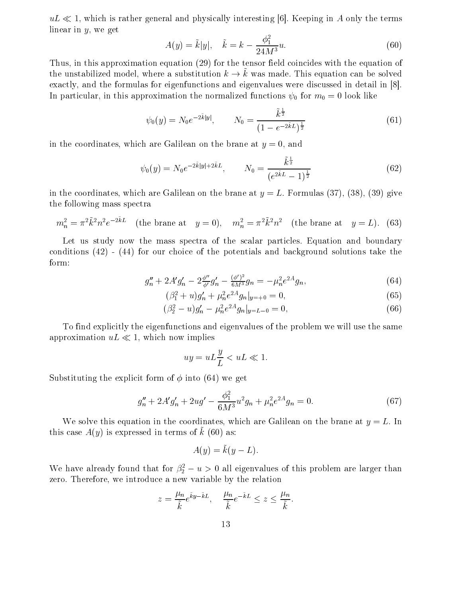$uL \ll 1$ , which is rather general and physically interesting [6]. Keeping in A only the terms linear in  $y$ , we get

$$
A(y) = \tilde{k}|y|, \quad \tilde{k} = k - \frac{\phi_1^2}{24M^3}u.
$$
 (60)

Thus, in this approximation equation (29) for the tensor field coincides with the equation of the unstabilized model, where a substitution  $k \to \tilde{k}$  was made. This equation can be solved exactly, and the formulas for eigenfunctions and eigenvalues were discussed in detail in [8]. In particular, in this approximation the normalized functions  $\psi_0$  for  $m_0 = 0$  look like

$$
\psi_0(y) = N_0 e^{-2\tilde{k}|y|}, \qquad N_0 = \frac{\tilde{k}^{\frac{1}{2}}}{(1 - e^{-2\tilde{k}L})^{\frac{1}{2}}}
$$
(61)

in the coordinates, which are Galilean on the brane at  $y = 0$ , and

$$
\psi_0(y) = N_0 e^{-2\tilde{k}|y| + 2\tilde{k}L}, \qquad N_0 = \frac{\tilde{k}^{\frac{1}{2}}}{(e^{2\tilde{k}L} - 1)^{\frac{1}{2}}}
$$
(62)

in the coordinates, which are Galilean on the brane at  $y = L$ . Formulas (37), (38), (39) give the following mass spectra

$$
m_n^2 = \pi^2 \tilde{k}^2 n^2 e^{-2\tilde{k}L}
$$
 (the brane at  $y = 0$ ),  $m_n^2 = \pi^2 \tilde{k}^2 n^2$  (the brane at  $y = L$ ). (63)

Let us study now the mass spectra of the scalar particles. Equation and boundary conditions  $(42)$  -  $(44)$  for our choice of the potentials and background solutions take the form:

$$
g_n'' + 2A'g_n' - 2\frac{\phi''}{\phi'}g_n' - \frac{(\phi')^2}{6M^3}g_n = -\mu_n^2 e^{2A}g_n,\tag{64}
$$

$$
(\beta_1^2 + u)g'_n + \mu_n^2 e^{2A} g_n |_{y=+0} = 0, \qquad (65)
$$

$$
(\beta_2^2 - u)g'_n - \mu_n^2 e^{2A} g_n |_{y=L-0} = 0,
$$
\n(66)

To find explicitly the eigenfunctions and eigenvalues of the problem we will use the same approximation  $uL \ll 1$ , which now implies

$$
uy = uL\frac{y}{L} < uL \ll 1
$$

Substituting the explicit form of  $\phi$  into (64) we get

$$
g_n'' + 2A'g_n' + 2ug' - \frac{\phi_1^2}{6M^3}u^2g_n + \mu_n^2 e^{2A}g_n = 0.
$$
 (67)

We solve this equation in the coordinates, which are Galilean on the brane at  $y = L$ . In this case  $A(y)$  is expressed in terms of  $\tilde{k}$  (60) as:

$$
A(y) = \tilde{k}(y - L).
$$

We have already found that for  $\beta_2^2 - u > 0$  all eigenvalues of this problem are larger than zero. Therefore, we introduce a new variable by the relation

$$
z = \frac{\mu_n}{\tilde{k}} e^{\tilde{k}y - \tilde{k}L}, \quad \frac{\mu_n}{\tilde{k}} e^{-\tilde{k}L} \le z \le \frac{\mu_n}{\tilde{k}}.
$$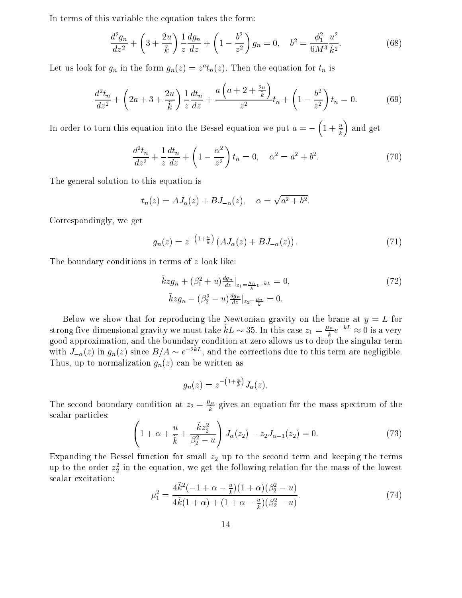In terms of this variable the equation takes the form:

$$
\frac{d^2g_n}{dz^2} + \left(3 + \frac{2u}{\tilde{k}}\right)\frac{1}{z}\frac{dg_n}{dz} + \left(1 - \frac{b^2}{z^2}\right)g_n = 0, \quad b^2 = \frac{\phi_1^2}{6M^3}\frac{u^2}{\tilde{k}^2}.\tag{68}
$$

Let us look for  $g_n$  in the form  $g_n(z) = z^a t_n(z)$ . Then the equation for  $t_n$  is

$$
\frac{d^2t_n}{dz^2} + \left(2a + 3 + \frac{2u}{\tilde{k}}\right) \frac{1}{z} \frac{dt_n}{dz} + \frac{a\left(a + 2 + \frac{2u}{\tilde{k}}\right)}{z^2} t_n + \left(1 - \frac{b^2}{z^2}\right) t_n = 0.
$$
 (69)

In order to turn this equation into the Bessel equation we put  $a = -\left(1 + \frac{u}{\overline{k}}\right)$  and get

$$
\frac{d^2t_n}{dz^2} + \frac{1}{z}\frac{dt_n}{dz} + \left(1 - \frac{\alpha^2}{z^2}\right)t_n = 0, \quad \alpha^2 = a^2 + b^2.
$$
 (70)

The general solution to this equation is

$$
t_n(z) = AJ_\alpha(z) + BJ_{-\alpha}(z), \quad \alpha = \sqrt{a^2 + b^2}.
$$

Correspondingly, we get

$$
g_n(z) = z^{-\left(1 + \frac{u}{k}\right)} \left( A J_\alpha(z) + B J_{-\alpha}(z) \right). \tag{71}
$$

The boundary conditions in terms of  $z$  look like:

$$
\tilde{k}z g_n + (\beta_1^2 + u) \frac{d g_n}{dz} \Big|_{z_1 = \frac{\mu_n}{k} e^{-\tilde{k}L}} = 0,
$$
\n
$$
\tilde{k}z g_n - (\beta_2^2 - u) \frac{d g_n}{dz} \Big|_{z_2 = \frac{\mu_n}{\tilde{k}}} = 0.
$$
\n(72)

Below we show that for reproducing the Newtonian gravity on the brane at  $y = L$  for strong five-dimensional gravity we must take  $\tilde{k}L \sim 35$ . In this case  $z_1 = \frac{\mu_n}{\tilde{k}} e^{-\tilde{k}L} \approx 0$  is a very good approximation, and the boundary condition at zero allows us to drop the singular term with  $J_{-\alpha}(z)$  i Thus, up to normalization  $g_n(z)$  can be written as

$$
g_n(z) = z^{-\left(1 + \frac{u}{\tilde{k}}\right)} J_\alpha(z),
$$

The second boundary condition at  $z_2 = \frac{\mu_n}{\tilde{k}}$  gives an equation for the mass spectrum of the scalar particles:

$$
\left(1+\alpha+\frac{u}{\tilde{k}}+\frac{\tilde{k}z_2^2}{\beta_2^2-u}\right)J_{\alpha}(z_2)-z_2J_{\alpha-1}(z_2)=0.
$$
\n(73)

Expanding the Bessel function for small  $z_2$  up to the second term and keeping the terms up to the order  $z_2^2$  in the equation, we get the following relation for the mass of the lowest scalar excitation:

$$
\mu_1^2 = \frac{4\tilde{k}^2(-1+\alpha-\frac{u}{\tilde{k}})(1+\alpha)(\beta_2^2-u)}{4\tilde{k}(1+\alpha)+(1+\alpha-\frac{u}{\tilde{k}})(\beta_2^2-u)}.
$$
\n(74)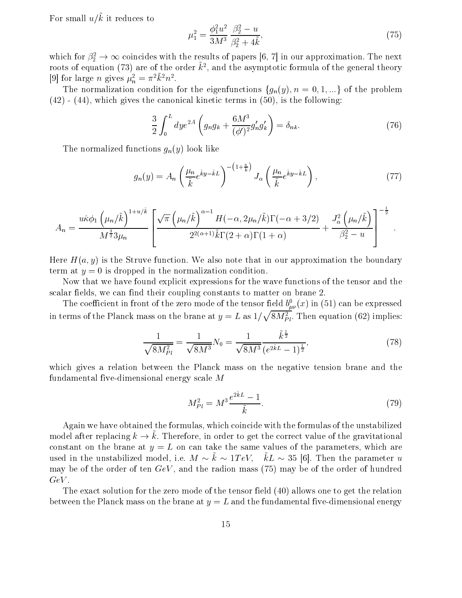For small  $u/\tilde{k}$  it reduces to

$$
\mu_1^2 = \frac{\phi_1^2 u^2}{3M^3} \frac{\beta_2^2 - u}{\beta_2^2 + 4\tilde{k}},\tag{75}
$$

which for  $\beta_2^2 \to \infty$  coincides with the results of papers [6, 7] in our approximation. The next roots of equation (73) are of the order  $\tilde{k}^2$ , and the asymptotic formula of the general theory [9] for large *n* gives  $\mu_n^2 = \pi^2 \tilde{k}^2 n^2$ .

The normalization condition for the eigenfunctions  $\{g_n(y), n = 0, 1, ...\}$  of the problem  $(42)$  -  $(44)$ , which gives the canonical kinetic terms in  $(50)$ , is the following

$$
\frac{3}{2} \int_0^L dy e^{2A} \left( g_n g_k + \frac{6M^3}{(\phi')^2} g'_n g'_k \right) = \delta_{nk}.
$$
 (76)

The normalized functions  $g_n(y)$  look like

$$
g_n(y) = A_n \left(\frac{\mu_n}{\tilde{k}} e^{\tilde{k}y - \tilde{k}L}\right)^{-(1 + \frac{u}{\tilde{k}})} J_\alpha \left(\frac{\mu_n}{\tilde{k}} e^{\tilde{k}y - \tilde{k}L}\right),\tag{77}
$$

$$
A_n = \frac{u\hat{\kappa}\phi_1\left(\mu_n/\tilde{k}\right)^{1+u/\tilde{k}}}{M^{\frac{3}{2}}3\mu_n} \left[ \frac{\sqrt{\pi}\left(\mu_n/\tilde{k}\right)^{\alpha-1}H(-\alpha,2\mu_n/\tilde{k})\Gamma(-\alpha+3/2)}{2^{2(\alpha+1)}\tilde{k}\Gamma(2+\alpha)\Gamma(1+\alpha)} + \frac{J_\alpha^2\left(\mu_n/\tilde{k}\right)}{\beta_2^2-u} \right]^{-\frac{1}{2}}
$$

Here  $H(a, y)$  is the Struve function. We also note that in our approximation the boundary term at  $y = 0$  is dropped in the normalization condition.

Now that we have found explicit expressions for the wave functions of the tensor and the scalar fields, we can find their coupling constants to matter on brane 2.

The coefficient in front of the zero mode of the tensor field  $b^0_{\mu\nu}(x)$  in (51) can be expressed in terms of the Planck mass on the brane at  $y = L$  as  $1/\sqrt{8M_{Pl}^2}$ . Then equation (62) implies:

$$
\frac{1}{\sqrt{8M_{Pl}^2}} = \frac{1}{\sqrt{8M^3}} N_0 = \frac{1}{\sqrt{8M^3}} \frac{\tilde{k}^{\frac{1}{2}}}{(e^{2\tilde{k}L} - 1)^{\frac{1}{2}}},\tag{78}
$$

which gives a relation between the Planck mass on the negative tension brane and the fundamental five-dimensional energy scale  $M$ 

$$
M_{Pl}^2 = M^3 \frac{e^{2\tilde{k}L} - 1}{\tilde{k}}.\tag{79}
$$

Again we have obtained the formulas, which coincide with the formulas of the unstabilized model after replacing  $k \to \tilde{k}$ . Therefore, in order to get the correct value of the gravitational constant on the brane at  $y = L$  on can take the same values of the parameters, which are used in the unstabilized model, i.e.  $M \sim \tilde{k} \sim 1 TeV$ ,  $\tilde{k}L \sim 35$  [6]. Then the parameter u may be of the order of ten  $GeV$ , and the radion mass (75) may be of the order of hundred  $GeV.$ 

The exact solution for the zero mode of the tensor field (40) allows one to get the relation between the Planck mass on the brane at  $y = L$  and the fundamental five-dimensional energy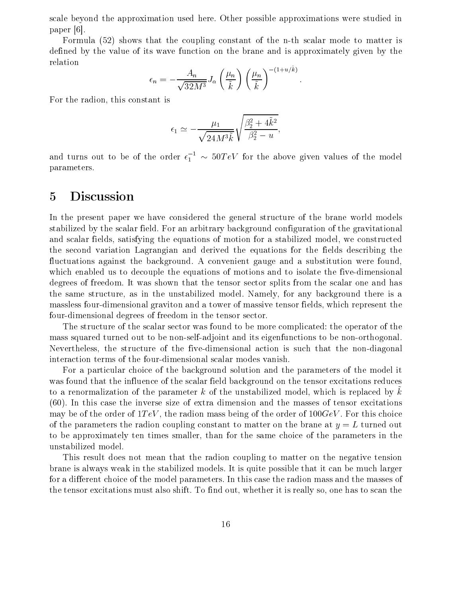scale beyond the approximation used here. Other possible approximations were studied in paper [6].

Formula (52) shows that the coupling constant of the n-th scalar mode to matter is defined by the value of its wave function on the brane and is approximately given by the relation

$$
\epsilon_n = -\frac{A_n}{\sqrt{32M^3}} J_\alpha \left(\frac{\mu_n}{\tilde{k}}\right) \left(\frac{\mu_n}{\tilde{k}}\right)^{-(1+u/k)}
$$

For the radion, this constant is

$$
\epsilon_1 \simeq -\frac{\mu_1}{\sqrt{24M^3\tilde{k}}} \sqrt{\frac{\beta_2^2 + 4\tilde{k}^2}{\beta_2^2 - u}},
$$

and turns out to be of the order  $\epsilon_1^{-1} \sim 50 TeV$  for the above given values of the model parameters.

#### $\overline{5}$ Discussion

In the present paper we have considered the general structure of the brane world models stabilized by the scalar field. For an arbitrary background configuration of the gravitational and scalar fields, satisfying the equations of motion for a stabilized model, we constructed the second variation Lagrangian and derived the equations for the fields describing the fluctuations against the background. A convenient gauge and a substitution were found, which enabled us to decouple the equations of motions and to isolate the five-dimensional degrees of freedom. It was shown that the tensor sector splits from the scalar one and has the same structure, as in the unstabilized model. Namely, for any background there is a massless four-dimensional graviton and a tower of massive tensor fields, which represent the four-dimensional degrees of freedom in the tensor sector.

The structure of the scalar sector was found to be more complicated: the operator of the mass squared turned out to be non-self-adjoint and its eigenfunctions to be non-orthogonal. Nevertheless, the structure of the five-dimensional action is such that the non-diagonal interaction terms of the four-dimensional scalar modes vanish.

For a particular choice of the background solution and the parameters of the model it was found that the influence of the scalar field background on the tensor excitations reduces to a renormalization of the parameter k of the unstabilized model, which is replaced by k  $(60)$ . In this case the inverse size of extra dimension and the masses of tensor excitations may be of the order of  $1 TeV$ , the radion mass being of the order of  $100 GeV$ . For this choice of the parameters the radion coupling constant to matter on the brane at  $y=L$  turned out to be approximately ten times smaller, than for the same choice of the parameters in the unstabilized model.

This result does not mean that the radion coupling to matter on the negative tension brane is always weak in the stabilized models. It is quite possible that it can be much larger for a different choice of the model parameters. In this case the radion mass and the masses of the tensor excitations must also shift. To find out, whether it is really so, one has to scan the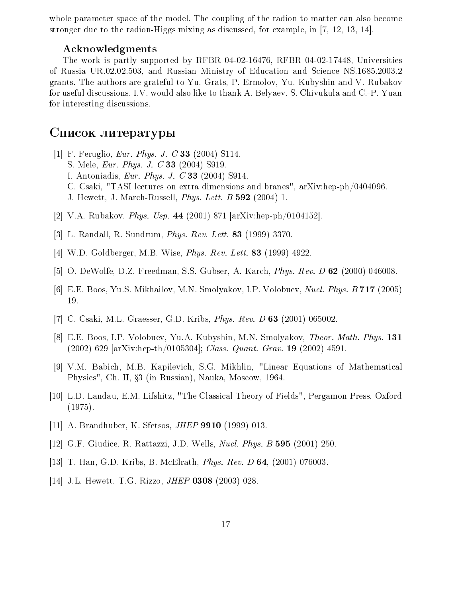whole parameter space of the model. The coupling of the radion to matter can also become stronger due to the radion-Higgs mixing as discussed, for example, in [7, 12, 13, 14].

### Acknowledgments

The work is partly supported by RFBR 04-02-16476, RFBR 04-02-17448, Universities of Russia UR.02.02.503, and Russian Ministry of Education and Science NS.1685.2003.2 grants. The authors are grateful to Yu. Grats, P. Ermolov, Yu. Kubyshin and V. Rubakov for useful discussions. I.V. would also like to thank A. Belyaev, S. Chivukula and C.-P. Yuan for interesting discussions.

## Список литературы

- [1] F. Feruglio, *Eur. Phys. J. C* 33 (2004) S114. S. Mele, *Eur. Phys. J. C* 33 (2004) S919. I. Antoniadis, *Eur. Phys. J. C* 33 (2004) S914. C. Csaki, "TASI lectures on extra dimensions and branes", arXiv:hep-ph/0404096. J. Hewett, J. March-Russell, *Phys. Lett. B* 592 (2004) 1.
- [2] V.A. Rubakov, *Phys. Usp.* 44 (2001) 871 [arXiv:hep-ph/0104152].
- [3] L. Randall, R. Sundrum, Phys. Rev. Lett. 83 (1999) 3370.
- $|4|$  W.D. Goldberger, M.B. Wise, *Phys. Rev. Lett.* **83** (1999) 4922.
- [5] O. DeWolfe, D.Z. Freedman, S.S. Gubser, A. Karch, *Phys. Rev. D* 62 (2000) 046008.
- [6] E.E. Boos, Yu.S. Mikhailov, M.N. Smolyakov, I.P. Volobuev, *Nucl. Phys. B* 717 (2005) 19.
- [7] C. Csaki, M.L. Graesser, G.D. Kribs, *Phys. Rev. D* 63 (2001) 065002.
- [8] E.E. Boos, I.P. Volobuev, Yu.A. Kubyshin, M.N. Smolyakov, Theor. Math. Phys. 131  $(2002)$  629 [arXiv:hep-th/0105304]; *Class. Quant. Grav.* **19** (2002) 4591
- [9] V.M. Babich, M.B. Kapilevich, S.G. Mikhlin, "Linear Equations of Mathematical Physics", Ch. II, §3 (in Russian), Nauka, Moscow, 1964.
- [10] L.D. Landau, E.M. Lifshitz, "The Classical Theory of Fields", Pergamon Press, Oxford  $(1975).$
- [11] A. Brandhuber, K. Sfetsos, *JHEP* 9910 (1999) 013.
- [12] G.F. Giudice, R. Rattazzi, J.D. Wells, *Nucl. Phys. B* 595 (2001) 250.
- [13] T. Han, G.D. Kribs, B. McElrath, *Phys. Rev. D* 64, (2001) 076003.
- [14] J.L. Hewett, T.G. Rizzo, *JHEP* 0308 (2003) 028.